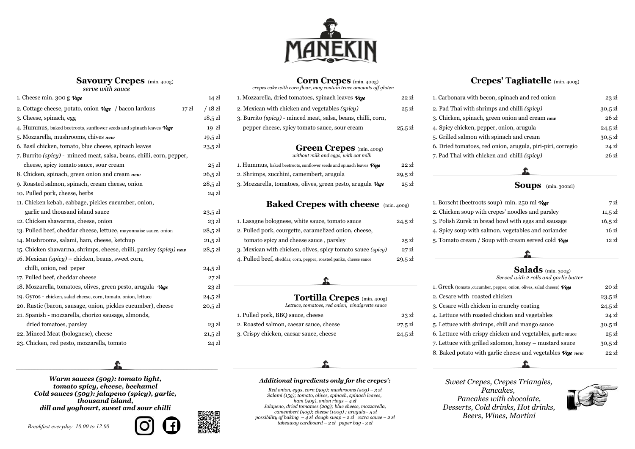**Savoury Crepes** (min. 400g)



### **Corn Crepes** (min. 400g)

 *crepes cake with corn flour, may contain trace amounts off gluten*

| 1. Mozzarella, dried tomatoes, spinach leaves $\nu$ ege              | 22   |
|----------------------------------------------------------------------|------|
| 2. Mexican with chicken and vegetables <i>(spicy)</i>                | 2!   |
| 3. Burrito <i>(spicy)</i> - minced meat, salsa, beans, chilli, corn, |      |
| pepper cheese, spicy to mato sauce, sour cream                       | 25.5 |
|                                                                      |      |

### **Green Crepes** (min. 400g)

| 1. Hummus, baked beetroots, sunflower seeds and spinach leaves $\mathcal{V}$ ege | 22 <sub>z</sub> |
|----------------------------------------------------------------------------------|-----------------|
| 2. Shrimps, zucchini, camembert, arugula                                         | 29.5 z          |
| 3. Mozzarella, tomatoes, olives, green pesto, arugula Vege                       | 25Z             |

### **12. Baked Crepes with cheese** (min. 400g)

| 1. Lasagne bolognese, white sauce, tomato sauce                    | 24,!         |
|--------------------------------------------------------------------|--------------|
| 2. Pulled pork, courgette, caramelized onion, cheese,              |              |
| tomato spicy and cheese sauce, parsley                             | 21           |
| 3. Mexican with chicken, olives, spicy tomato sauce (spicy)        | $2^{\prime}$ |
| 4. Pulled beef, cheddar, corn, pepper, roasted panko, cheese sauce | .q.          |

# **Tortilla Crepes** (min. 400g)

| 1. Pulled pork, BBQ sauce, cheese       | 23   |
|-----------------------------------------|------|
| 2. Roasted salmon, caesar sauce, cheese | 27,5 |
| 3. Crispy chicken, caesar sauce, cheese | 24,5 |
|                                         |      |

### **Crepes' Tagliatelle** (min. 400g)



| 1. Carbonara with becon, spinach and red onion             | $23$ zł           |
|------------------------------------------------------------|-------------------|
| 2. Pad Thai with shrimps and chilli (spicy)                | $30,5$ zł         |
| 3. Chicken, spinach, green onion and cream new             | 26z               |
| 4. Spicy chicken, pepper, onion, arugula                   | $24.5$ zł         |
| 5. Grilled salmon with spinach and cream                   | $30.5$ zł         |
| 6. Dried tomatoes, red onion, arugula, piri-piri, corregio | $24$ $\mathrm{z}$ |
| 7. Pad Thai with chicken and chilli (spicy)                | 26z               |

### 9. Roasted salmon, spinach, cream cheese, onion 28,5 zł 3. Mozzarella, tomatoes, olives, green pesto, arugula *Vege* 25 zł **Soups** (min. 300ml)



| 1. Borscht (beetroots soup) min. 250 ml $V_{\text{E}}$            | 7z                |
|-------------------------------------------------------------------|-------------------|
| 2. Chicken soup with crepes' noodles and parsley                  | $11,5 \mathrm{Z}$ |
| 3. Polish Żurek in bread bowl with eggs and sausage               | $16,5 \mathrm{Z}$ |
| 4. Spicy soup with salmon, vegetables and coriander               | 16z               |
| 5. Tomato cream / Soup with cream served cold $\mathcal{V}_{e,q}$ | 12.7              |
|                                                                   |                   |

| 1. Cheese min. 300 g $V$ ege                                                             | $14 \mathrm{z}$   | 1. Mozzarella, dried tomatoes, spinach leaves $V_{\text{ege}}$                   | $22$ $zi$         | 1. Carbonara with becon, spinach and red onion                            | 23z               |
|------------------------------------------------------------------------------------------|-------------------|----------------------------------------------------------------------------------|-------------------|---------------------------------------------------------------------------|-------------------|
| 2. Cottage cheese, potato, onion $\mathcal{V}_{\mathcal{G}}(e)$ / bacon lardons<br>17 zł | $/ 18$ zł         | 2. Mexican with chicken and vegetables (spicy)                                   | $25$ zł           | 2. Pad Thai with shrimps and chilli (spicy)                               | $30,5$ zł         |
| 3. Cheese, spinach, egg                                                                  | $18,5 \mathrm{Z}$ | 3. Burrito (spicy) - minced meat, salsa, beans, chilli, corn,                    |                   | 3. Chicken, spinach, green onion and cream new                            | 26 zł             |
| 4. Hummus, baked beetroots, sunflower seeds and spinach leaves $\mathcal{V}$ ege         | $19 \text{ zl}$   | pepper cheese, spicy tomato sauce, sour cream                                    | $25.5$ zł         | 4. Spicy chicken, pepper, onion, arugula                                  | $24,5 \mathrm{Z}$ |
| 5. Mozzarella, mushrooms, chives new                                                     | $19,5 \mathrm{Z}$ |                                                                                  |                   | 5. Grilled salmon with spinach and cream                                  | $30,5$ zł         |
| 6. Basil chicken, tomato, blue cheese, spinach leaves                                    | $23,5 \mathrm{Z}$ | <b>Green Crepes</b> (min. 400g)                                                  |                   | 6. Dried tomatoes, red onion, arugula, piri-piri, corregio                | 24z               |
| 7. Burrito ( <i>spicy</i> ) - minced meat, salsa, beans, chilli, corn, pepper,           |                   | without milk and eggs, with oat milk                                             |                   | 7. Pad Thai with chicken and chilli (spicy)                               | 26z               |
| cheese, spicy to mato sauce, sour cream                                                  | 25z               | 1. Hummus, baked beetroots, sunflower seeds and spinach leaves $\mathcal{V}$ ege | $22$ $\rm{Z}$     |                                                                           |                   |
| 8. Chicken, spinach, green onion and cream new                                           | $26,5 \mathrm{Z}$ | 2. Shrimps, zucchini, camembert, arugula                                         | $29,5 \mathrm{Z}$ |                                                                           |                   |
| 9. Roasted salmon, spinach, cream cheese, onion                                          | $28,5 \mathrm{Z}$ | 3. Mozzarella, tomatoes, olives, green pesto, arugula Vege                       | 25z               | <b>Soups</b> (min. 300ml)                                                 |                   |
| 10. Pulled pork, cheese, herbs                                                           | $24$ zł           |                                                                                  |                   |                                                                           |                   |
| 11. Chicken kebab, cabbage, pickles cucumber, onion,                                     |                   | <b>Baked Crepes with cheese</b> (min. 400g)                                      |                   | 1. Borscht (beetroots soup) min. 250 ml $V$ ege                           | 7z                |
| garlic and thousand island sauce                                                         | $23,5 \mathrm{Z}$ |                                                                                  |                   | 2. Chicken soup with crepes' noodles and parsley                          | $11,5 \mathrm{Z}$ |
| 12. Chicken shawarma, cheese, onion                                                      | $23$ $\rm{z}$     | 1. Lasagne bolognese, white sauce, tomato sauce                                  | $24,5 \mathrm{Z}$ | 3. Polish Zurek in bread bowl with eggs and sausage                       | $16,5 \mathrm{Z}$ |
| 13. Pulled beef, cheddar cheese, lettuce, mayonnaise sauce, onion                        | $28,5 \mathrm{Z}$ | 2. Pulled pork, courgette, caramelized onion, cheese,                            |                   | 4. Spicy soup with salmon, vegetables and coriander                       | 16z               |
| 14. Mushrooms, salami, ham, cheese, ketchup                                              | $21,5 \mathrm{Z}$ | tomato spicy and cheese sauce, parsley                                           | $25$ $\rm{Z}$     | 5. Tomato cream / Soup with cream served cold $V_{\text{E}}$              | 12 z              |
| 15. Chicken shawarma, shrimps, cheese, chilli, parsley (spicy) new                       | $28,5 \mathrm{Z}$ | 3. Mexican with chicken, olives, spicy tomato sauce (spicy)                      | $27$ zł           |                                                                           |                   |
| 16. Mexican (spicy) – chicken, beans, sweet corn,                                        |                   | 4. Pulled beef, cheddar, corn, pepper, roasted panko, cheese sauce               | $29,5 \mathrm{Z}$ |                                                                           |                   |
| chilli, onion, red peper                                                                 | $24,5 \mathrm{Z}$ |                                                                                  |                   | <b>Salads</b> (min. 300g)                                                 |                   |
| 17. Pulled beef, cheddar cheese                                                          | $27$ zł           |                                                                                  |                   | Served with 2 rolls and garlic butter                                     |                   |
| 18. Mozzarella, tomatoes, olives, green pesto, arugula Vege                              | $23$ $\rm{z}$     |                                                                                  |                   | 1. Greek (tomato , cucumber, pepper, onion, olives, salad cheese) $V$ ege | 20 zł             |
| 19. Gyros - chicken, salad cheese, corn, tomato, onion, lettuce                          | $24,5 \mathrm{Z}$ | <b>Tortilla Crepes</b> (min. 400g)                                               |                   | 2. Cesare with roasted chicken                                            | $23,5 \mathrm{z}$ |
| 20. Rustic (bacon, sausage, onion, pickles cucumber), cheese                             | $20,5 \mathrm{Z}$ | Lettuce, tomatoes, red onion, vinaigrette sauce                                  |                   | 3. Cesare with chicken in crunchy coating                                 | $24,5 \mathrm{Z}$ |
| 21. Spanish - mozzarella, chorizo sausage, almonds,                                      |                   | 1. Pulled pork, BBQ sauce, cheese                                                | $23$ $\rm{Z}$     | 4. Lettuce with roasted chicken and vegetables                            | $24 \mathrm{Z}$   |
| dried tomatoes, parsley                                                                  | $23$ $\rm{z}$     | 2. Roasted salmon, caesar sauce, cheese                                          | $27,5 \mathrm{Z}$ | 5. Lettuce with shrimps, chili and mango sauce                            | $30,5$ zł         |
| 22. Minced Meat (bolognese), cheese                                                      | $21,5 \mathrm{Z}$ | 3. Crispy chicken, caesar sauce, cheese                                          | $24,5 \mathrm{Z}$ | 6. Lettuce with crispy chicken and vegetables, garlic sauce               | 25z               |
| 23. Chicken, red pesto, mozzarella, tomato                                               | $24$ zł           |                                                                                  |                   | 7. Lettuce with grilled salomon, honey - mustard sauce                    | $30,5$ zł         |

## 17. Pulled beef, cheddar cheese 27 zł *Served with 2 rolls and garlic butter*

| 1. Greek (tomato , cucumber, pepper, onion, olives, salad cheese) $V$ ege | 20z               |
|---------------------------------------------------------------------------|-------------------|
| 2. Cesare with roasted chicken                                            | $23,5 \,$ zł      |
| 3. Cesare with chicken in crunchy coating                                 | $24,5 \mathrm{Z}$ |
| 4. Lettuce with roasted chicken and vegetables                            | $24$ zł           |
| 5. Lettuce with shrimps, chili and mango sauce                            | $30,5$ zł         |
| 6. Lettuce with crispy chicken and vegetables, garlic sauce               | 25z               |
| 7. Lettuce with grilled salomon, honey – mustard sauce                    | $30,5 \mathrm{Z}$ |
| 8. Baked potato with garlic cheese and vegetables $\mathcal{V}$ ege new   | $22$ zł           |
|                                                                           |                   |

*Warm sauces (50g): tomato light, tomato spicy, cheese, bechamel Cold sauces (50g): jalapeno (spicy), garlic, thousand island, dill and yoghourt, sweet and sour chilli*

### *Additional ingredients only for the crepes': Sweet Crepes, Crepes Triangles,*





*Red onion, eggs, corn (30g); mushrooms (50g) – 3 zł Salami (15g); tomato, olives, spinach, spinach leaves, ham (50g), onion rings – 4 zł Jalapeno, dried tomatoes (20g); blue cheese, mozzarella, camembert (50g); cheese (100g) ; arugula– 5 zł possibility of baking – 4 zł dough swap – 2 zł extra sauce – 2 zł*